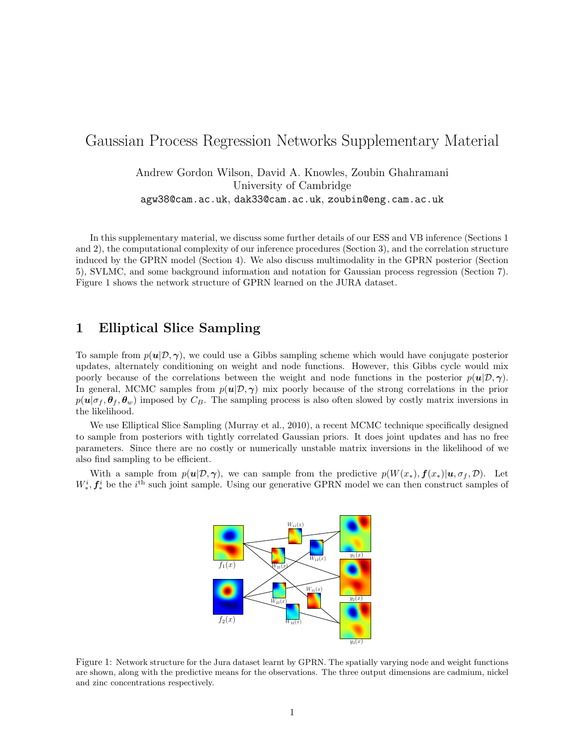# Gaussian Process Regression Networks Supplementary Material

Andrew Gordon Wilson, David A. Knowles, Zoubin Ghahramani University of Cambridge agw38@cam.ac.uk, dak33@cam.ac.uk, zoubin@eng.cam.ac.uk

In this supplementary material, we discuss some further details of our ESS and VB inference (Sections 1 and 2), the computational complexity of our inference procedures (Section 3), and the correlation structure induced by the GPRN model (Section 4). We also discuss multimodality in the GPRN posterior (Section 5), SVLMC, and some background information and notation for Gaussian process regression (Section 7). Figure 1 shows the network structure of GPRN learned on the JURA dataset.

# 1 Elliptical Slice Sampling

To sample from  $p(\mathbf{u}|\mathcal{D}, \gamma)$ , we could use a Gibbs sampling scheme which would have conjugate posterior updates, alternately conditioning on weight and node functions. However, this Gibbs cycle would mix poorly because of the correlations between the weight and node functions in the posterior  $p(\mathbf{u}|\mathcal{D}, \gamma)$ . In general, MCMC samples from  $p(u|\mathcal{D}, \gamma)$  mix poorly because of the strong correlations in the prior  $p(\mathbf{u}|\sigma_f, \theta_f, \theta_w)$  imposed by  $C_B$ . The sampling process is also often slowed by costly matrix inversions in the likelihood.

We use Elliptical Slice Sampling (Murray et al., 2010), a recent MCMC technique specifically designed to sample from posteriors with tightly correlated Gaussian priors. It does joint updates and has no free parameters. Since there are no costly or numerically unstable matrix inversions in the likelihood of we also find sampling to be efficient.

With a sample from  $p(u|\mathcal{D}, \gamma)$ , we can sample from the predictive  $p(W(x_*), f(x_*)|u, \sigma_f, \mathcal{D})$ . Let  $W_*^i, \mathbf{f}_*^i$  be the i<sup>th</sup> such joint sample. Using our generative GPRN model we can then construct samples of



Figure 1: Network structure for the Jura dataset learnt by GPRN. The spatially varying node and weight functions are shown, along with the predictive means for the observations. The three output dimensions are cadmium, nickel and zinc concentrations respectively.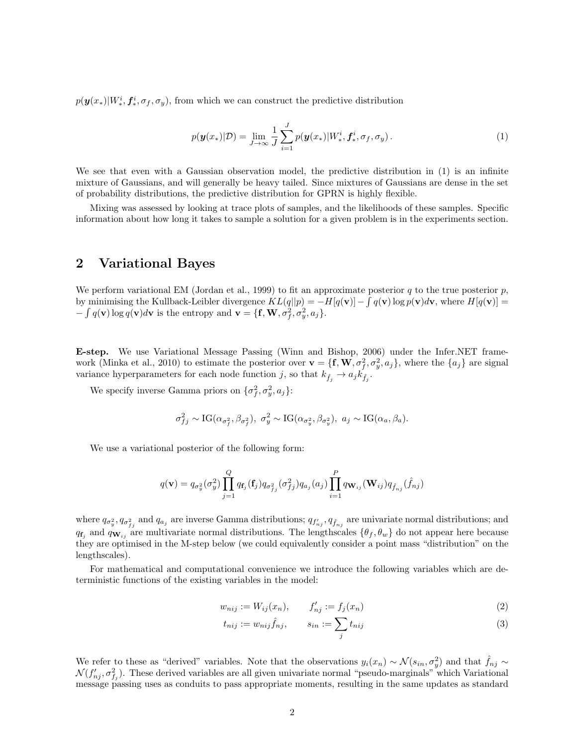$p(\bm{y}(x_*)|W^i_*, \bm{f}^i_*, \sigma_f, \sigma_y)$ , from which we can construct the predictive distribution

$$
p(\mathbf{y}(x_{*})|\mathcal{D}) = \lim_{J \to \infty} \frac{1}{J} \sum_{i=1}^{J} p(\mathbf{y}(x_{*})|W_{*}^{i}, \mathbf{f}_{*}^{i}, \sigma_{f}, \sigma_{y}). \tag{1}
$$

We see that even with a Gaussian observation model, the predictive distribution in  $(1)$  is an infinite mixture of Gaussians, and will generally be heavy tailed. Since mixtures of Gaussians are dense in the set of probability distributions, the predictive distribution for GPRN is highly flexible.

Mixing was assessed by looking at trace plots of samples, and the likelihoods of these samples. Specific information about how long it takes to sample a solution for a given problem is in the experiments section.

# 2 Variational Bayes

We perform variational EM (Jordan et al., 1999) to fit an approximate posterior q to the true posterior  $p$ , by minimising the Kullback-Leibler divergence  $KL(q||p) = -H[q(v)] - \int q(v) \log p(v) dv$ , where  $H[q(v)] =$  $-\int q(\mathbf{v}) \log q(\mathbf{v}) d\mathbf{v}$  is the entropy and  $\mathbf{v} = {\{\mathbf{f}, \mathbf{W}, \sigma_f^2, \sigma_y^2, a_j\}}.$ 

E-step. We use Variational Message Passing (Winn and Bishop, 2006) under the Infer.NET framework (Minka et al., 2010) to estimate the posterior over  $\mathbf{v} = \{\mathbf{f}, \mathbf{W}, \sigma_f^2, \sigma_y^2, a_j\}$ , where the  $\{a_j\}$  are signal variance hyperparameters for each node function  $j$ , so that  $k_{\hat{f}_j} \rightarrow a_j \hat{k_{\hat{f}_j}}$ .

We specify inverse Gamma priors on  $\{\sigma_f^2, \sigma_y^2, a_j\}$ :

$$
\sigma_{fj}^2 \sim \text{IG}(\alpha_{\sigma_j^2}, \beta_{\sigma_j^2}), \ \sigma_y^2 \sim \text{IG}(\alpha_{\sigma_y^2}, \beta_{\sigma_y^2}), \ a_j \sim \text{IG}(\alpha_a, \beta_a).
$$

We use a variational posterior of the following form:

$$
q(\mathbf{v}) = q_{\sigma_y^2}(\sigma_y^2) \prod_{j=1}^Q q_{\mathbf{f}_j}(\mathbf{f}_j) q_{\sigma_{f_j}^2}(\sigma_{f_j}^2) q_{a_j}(a_j) \prod_{i=1}^P q_{\mathbf{W}_{ij}}(\mathbf{W}_{ij}) q_{\hat{f}_{nj}}(\hat{f}_{nj})
$$

where  $q_{\sigma_y^2}$ ,  $q_{\sigma_{f_j}^2}$  and  $q_{a_j}$  are inverse Gamma distributions;  $q_{f'_{n_j}}, q_{\hat{f}_{n_j}}$  are univariate normal distributions; and  $q_{f_i}$  and  $q_{W_{ij}}$  are multivariate normal distributions. The lengthscales  $\{\theta_f, \theta_w\}$  do not appear here because they are optimised in the M-step below (we could equivalently consider a point mass "distribution" on the lengthscales).

For mathematical and computational convenience we introduce the following variables which are deterministic functions of the existing variables in the model:

$$
w_{nij} := W_{ij}(x_n), \t f'_{nj} := f_j(x_n)
$$
\n(2)

$$
t_{nij} := w_{nij} \hat{f}_{nj}, \qquad s_{in} := \sum_j t_{nij} \tag{3}
$$

We refer to these as "derived" variables. Note that the observations  $y_i(x_n) \sim \mathcal{N}(s_{in}, \sigma_y^2)$  and that  $\hat{f}_{nj} \sim$  $\mathcal{N}(f'_{nj}, \sigma_{f_j}^2)$ . These derived variables are all given univariate normal "pseudo-marginals" which Variational message passing uses as conduits to pass appropriate moments, resulting in the same updates as standard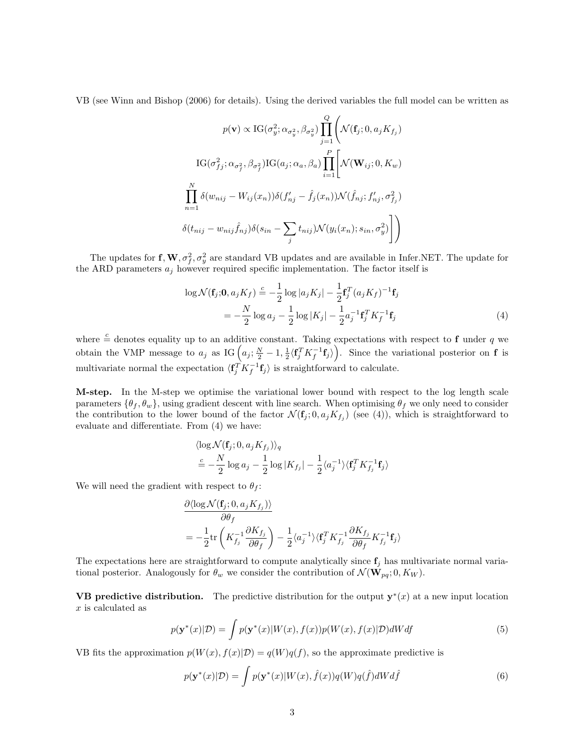VB (see Winn and Bishop (2006) for details). Using the derived variables the full model can be written as

$$
p(\mathbf{v}) \propto \text{IG}(\sigma_y^2; \alpha_{\sigma_y^2}, \beta_{\sigma_y^2}) \prod_{j=1}^Q \left( \mathcal{N}(\mathbf{f}_j; 0, a_j K_{f_j}) \right)
$$

$$
\text{IG}(\sigma_{fj}^2; \alpha_{\sigma_j^2}, \beta_{\sigma_j^2}) \text{IG}(a_j; \alpha_a, \beta_a) \prod_{i=1}^P \left[ \mathcal{N}(\mathbf{W}_{ij}; 0, K_w) \right]
$$

$$
\prod_{n=1}^N \delta(w_{nij} - W_{ij}(x_n)) \delta(f'_{nj} - \hat{f}_j(x_n)) \mathcal{N}(\hat{f}_{nj}; f'_{nj}, \sigma_{f_j}^2)
$$

$$
\delta(t_{nij} - w_{nij} \hat{f}_{nj}) \delta(s_{in} - \sum_j t_{nij}) \mathcal{N}(y_i(x_n); s_{in}, \sigma_y^2) \right]
$$

The updates for  $f, W, \sigma_f^2, \sigma_y^2$  are standard VB updates and are available in Infer.NET. The update for the ARD parameters  $a_j$  however required specific implementation. The factor itself is

$$
\log \mathcal{N}(\mathbf{f}_j; \mathbf{0}, a_j K_f) \stackrel{c}{=} -\frac{1}{2} \log |a_j K_j| - \frac{1}{2} \mathbf{f}_j^T (a_j K_f)^{-1} \mathbf{f}_j
$$
  
= 
$$
-\frac{N}{2} \log a_j - \frac{1}{2} \log |K_j| - \frac{1}{2} a_j^{-1} \mathbf{f}_j^T K_f^{-1} \mathbf{f}_j
$$
(4)

where  $\frac{c}{r}$  denotes equality up to an additive constant. Taking expectations with respect to f under q we obtain the VMP message to  $a_j$  as IG  $(a_j; \frac{N}{2}-1, \frac{1}{2}\langle f_j^T K_f^{-1} f_j \rangle)$ . Since the variational posterior on f is multivariate normal the expectation  $\langle \mathbf{f}_j^T K_j^{-1} \mathbf{f}_j \rangle$  is straightforward to calculate.

M-step. In the M-step we optimise the variational lower bound with respect to the log length scale parameters  $\{\theta_f, \theta_w\}$ , using gradient descent with line search. When optimising  $\theta_f$  we only need to consider the contribution to the lower bound of the factor  $\mathcal{N}(\mathbf{f}_j; 0, a_j K_{f_j})$  (see (4)), which is straightforward to evaluate and differentiate. From (4) we have:

$$
\langle \log \mathcal{N}(\mathbf{f}_j; 0, a_j K_{f_j}) \rangle_q
$$
  

$$
\stackrel{c}{=} -\frac{N}{2} \log a_j - \frac{1}{2} \log |K_{f_j}| - \frac{1}{2} \langle a_j^{-1} \rangle \langle \mathbf{f}_j^T K_{f_j}^{-1} \mathbf{f}_j \rangle
$$

We will need the gradient with respect to  $\theta_f$ :

$$
\frac{\partial \langle \log \mathcal{N}(\mathbf{f}_j; 0, a_j K_{f_j}) \rangle}{\partial \theta_f}
$$
\n
$$
= -\frac{1}{2} \text{tr}\left(K_{f_j}^{-1} \frac{\partial K_{f_j}}{\partial \theta_f}\right) - \frac{1}{2} \langle a_j^{-1} \rangle \langle \mathbf{f}_j^T K_{f_j}^{-1} \frac{\partial K_{f_j}}{\partial \theta_f} K_{f_j}^{-1} \mathbf{f}_j \rangle
$$

The expectations here are straightforward to compute analytically since  $f_i$  has multivariate normal variational posterior. Analogously for  $\theta_w$  we consider the contribution of  $\mathcal{N}(\mathbf{W}_{pq}; 0, K_W)$ .

**VB** predictive distribution. The predictive distribution for the output  $y^*(x)$  at a new input location x is calculated as

$$
p(\mathbf{y}^*(x)|\mathcal{D}) = \int p(\mathbf{y}^*(x)|W(x), f(x))p(W(x), f(x)|\mathcal{D})dWdf
$$
\n(5)

VB fits the approximation  $p(W(x), f(x)|D) = q(W)q(f)$ , so the approximate predictive is

$$
p(\mathbf{y}^*(x)|\mathcal{D}) = \int p(\mathbf{y}^*(x)|W(x), \hat{f}(x))q(W)q(\hat{f})dW d\hat{f}
$$
\n(6)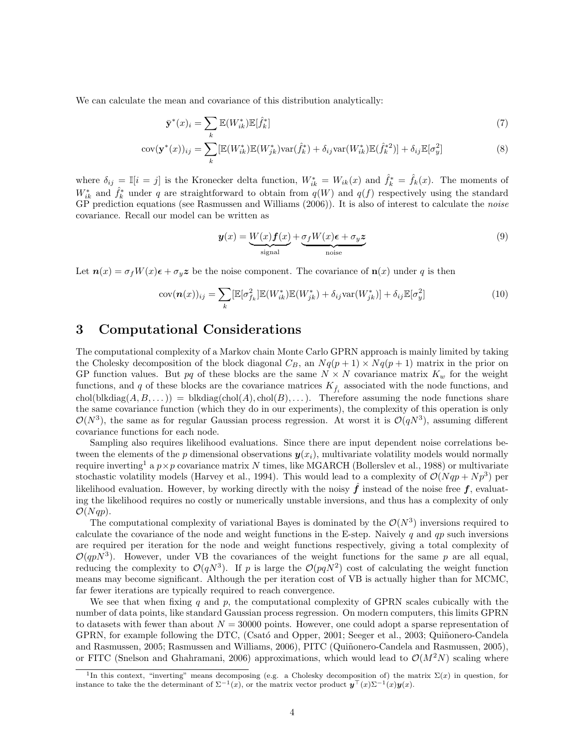We can calculate the mean and covariance of this distribution analytically:

$$
\bar{\mathbf{y}}^*(x)_i = \sum_k \mathbb{E}(W_{ik}^*) \mathbb{E}[\hat{f}_k^*]
$$
\n(7)

$$
cov(\mathbf{y}^*(x))_{ij} = \sum_k [\mathbb{E}(W_{ik}^*) \mathbb{E}(W_{jk}^*) var(\hat{f}_k^*) + \delta_{ij} var(W_{ik}^*) \mathbb{E}(\hat{f}_k^*)] + \delta_{ij} \mathbb{E}[\sigma_y^2]
$$
(8)

where  $\delta_{ij} = \mathbb{I}[i=j]$  is the Kronecker delta function,  $W_{ik}^* = W_{ik}(x)$  and  $\hat{f}_k^* = \hat{f}_k(x)$ . The moments of  $W_{ik}^*$  and  $\hat{f}_k^*$  under q are straightforward to obtain from  $q(W)$  and  $q(f)$  respectively using the standard GP prediction equations (see Rasmussen and Williams (2006)). It is also of interest to calculate the *noise* covariance. Recall our model can be written as

$$
\mathbf{y}(x) = \underbrace{W(x)\mathbf{f}(x)}_{\text{signal}} + \underbrace{\sigma_f W(x)\boldsymbol{\epsilon} + \sigma_y \mathbf{z}}_{\text{noise}}
$$
\n(9)

Let  $n(x) = \sigma_f W(x) \epsilon + \sigma_y z$  be the noise component. The covariance of  $n(x)$  under q is then

$$
cov(\boldsymbol{n}(x))_{ij} = \sum_{k} [\mathbb{E}[\sigma_{f_k}^2] \mathbb{E}(W_{ik}^*) \mathbb{E}(W_{jk}^*) + \delta_{ij} var(W_{jk}^*)] + \delta_{ij} \mathbb{E}[\sigma_{y}^2]
$$
(10)

### 3 Computational Considerations

The computational complexity of a Markov chain Monte Carlo GPRN approach is mainly limited by taking the Cholesky decomposition of the block diagonal  $C_B$ , an  $Nq(p + 1) \times Nq(p + 1)$  matrix in the prior on GP function values. But pq of these blocks are the same  $N \times N$  covariance matrix  $K_w$  for the weight functions, and q of these blocks are the covariance matrices  $K_{\hat{f}_i}$  associated with the node functions, and chol(blkdiag( $A, B, \ldots$ )) = blkdiag(chol( $A$ ), chol( $B$ ), ...). Therefore assuming the node functions share the same covariance function (which they do in our experiments), the complexity of this operation is only  $\mathcal{O}(N^3)$ , the same as for regular Gaussian process regression. At worst it is  $\mathcal{O}(qN^3)$ , assuming different covariance functions for each node.

Sampling also requires likelihood evaluations. Since there are input dependent noise correlations between the elements of the p dimensional observations  $y(x_i)$ , multivariate volatility models would normally require inverting<sup>1</sup> a  $p \times p$  covariance matrix N times, like MGARCH (Bollerslev et al., 1988) or multivariate stochastic volatility models (Harvey et al., 1994). This would lead to a complexity of  $\mathcal{O}(Nqp + Np^3)$  per likelihood evaluation. However, by working directly with the noisy  $\hat{f}$  instead of the noise free  $f$ , evaluating the likelihood requires no costly or numerically unstable inversions, and thus has a complexity of only  $\mathcal{O}(Nqp)$ .

The computational complexity of variational Bayes is dominated by the  $\mathcal{O}(N^3)$  inversions required to calculate the covariance of the node and weight functions in the E-step. Naively q and qp such inversions are required per iteration for the node and weight functions respectively, giving a total complexity of  $\mathcal{O}(qpN^3)$ . However, under VB the covariances of the weight functions for the same p are all equal, reducing the complexity to  $\mathcal{O}(qN^3)$ . If p is large the  $\mathcal{O}(pqN^2)$  cost of calculating the weight function means may become significant. Although the per iteration cost of VB is actually higher than for MCMC, far fewer iterations are typically required to reach convergence.

We see that when fixing q and  $p$ , the computational complexity of GPRN scales cubically with the number of data points, like standard Gaussian process regression. On modern computers, this limits GPRN to datasets with fewer than about  $N = 30000$  points. However, one could adopt a sparse representation of GPRN, for example following the DTC, (Csató and Opper, 2001; Seeger et al., 2003; Quiñonero-Candela and Rasmussen, 2005; Rasmussen and Williams, 2006), PITC (Quiñonero-Candela and Rasmussen, 2005), or FITC (Snelson and Ghahramani, 2006) approximations, which would lead to  $\mathcal{O}(M^2N)$  scaling where

<sup>&</sup>lt;sup>1</sup>In this context, "inverting" means decomposing (e.g. a Cholesky decomposition of) the matrix  $\Sigma(x)$  in question, for instance to take the the determinant of  $\Sigma^{-1}(x)$ , or the matrix vector product  $y^{\top}(x)\Sigma^{-1}(x)y(x)$ .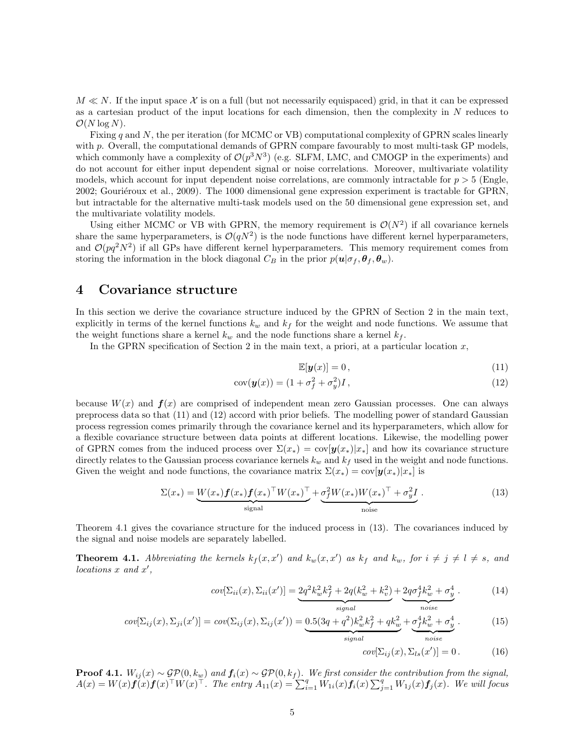$M \ll N$ . If the input space X is on a full (but not necessarily equispaced) grid, in that it can be expressed as a cartesian product of the input locations for each dimension, then the complexity in N reduces to  $\mathcal{O}(N \log N)$ .

Fixing q and N, the per iteration (for MCMC or VB) computational complexity of GPRN scales linearly with p. Overall, the computational demands of GPRN compare favourably to most multi-task GP models, which commonly have a complexity of  $\mathcal{O}(p^3N^3)$  (e.g. SLFM, LMC, and CMOGP in the experiments) and do not account for either input dependent signal or noise correlations. Moreover, multivariate volatility models, which account for input dependent noise correlations, are commonly intractable for  $p > 5$  (Engle, 2002; Gouriéroux et al., 2009). The 1000 dimensional gene expression experiment is tractable for GPRN, but intractable for the alternative multi-task models used on the 50 dimensional gene expression set, and the multivariate volatility models.

Using either MCMC or VB with GPRN, the memory requirement is  $\mathcal{O}(N^2)$  if all covariance kernels share the same hyperparameters, is  $\mathcal{O}(qN^2)$  is the node functions have different kernel hyperparameters, and  $\mathcal{O}(pq^2N^2)$  if all GPs have different kernel hyperparameters. This memory requirement comes from storing the information in the block diagonal  $C_B$  in the prior  $p(\mathbf{u}|\sigma_f, \theta_f, \theta_w)$ .

#### 4 Covariance structure

In this section we derive the covariance structure induced by the GPRN of Section 2 in the main text, explicitly in terms of the kernel functions  $k_w$  and  $k_f$  for the weight and node functions. We assume that the weight functions share a kernel  $k_w$  and the node functions share a kernel  $k_f$ .

In the GPRN specification of Section 2 in the main text, a priori, at a particular location  $x$ ,

$$
\mathbb{E}[\mathbf{y}(x)] = 0,\tag{11}
$$

$$
cov(\boldsymbol{y}(x)) = (1 + \sigma_f^2 + \sigma_y^2)I, \qquad (12)
$$

because  $W(x)$  and  $f(x)$  are comprised of independent mean zero Gaussian processes. One can always preprocess data so that (11) and (12) accord with prior beliefs. The modelling power of standard Gaussian process regression comes primarily through the covariance kernel and its hyperparameters, which allow for a flexible covariance structure between data points at different locations. Likewise, the modelling power of GPRN comes from the induced process over  $\Sigma(x_*) = \text{cov}[\bm{y}(x_*)|x_*]$  and how its covariance structure directly relates to the Gaussian process covariance kernels  $k_w$  and  $k_f$  used in the weight and node functions. Given the weight and node functions, the covariance matrix  $\Sigma(x_*) = \text{cov}[\mathbf{y}(x_*)|x_*]$  is

$$
\Sigma(x_*) = \underbrace{W(x_*) f(x_*) f(x_*)^\top W(x_*)^\top}_{\text{signal}} + \underbrace{\sigma_f^2 W(x_*) W(x_*)^\top + \sigma_y^2 I}_{\text{noise}}.
$$
\n(13)

Theorem 4.1 gives the covariance structure for the induced process in (13). The covariances induced by the signal and noise models are separately labelled.

**Theorem 4.1.** Abbreviating the kernels  $k_f(x, x')$  and  $k_w(x, x')$  as  $k_f$  and  $k_w$ , for  $i \neq j \neq l \neq s$ , and  $locations x and x',$ 

$$
cov[\Sigma_{ii}(x), \Sigma_{ii}(x')] = \underbrace{2q^2k_w^2k_f^2 + 2q(k_w^2 + k_v^2)}_{signal} + \underbrace{2q\sigma_f^4k_w^2 + \sigma_y^4}_{noise}.
$$
 (14)

$$
cov[\Sigma_{ij}(x), \Sigma_{ji}(x')] = cov(\Sigma_{ij}(x), \Sigma_{ij}(x')) = \underbrace{0.5(3q+q^2)k_w^2k_f^2 + qk_w^2}_{signal} + \underbrace{\sigma_f^4k_w^2 + \sigma_y^4}_{noise}.
$$
 (15)

$$
cov[\Sigma_{ij}(x), \Sigma_{ls}(x')] = 0.
$$
 (16)

**Proof 4.1.**  $W_{ij}(x) \sim \mathcal{GP}(0, k_w)$  and  $f_i(x) \sim \mathcal{GP}(0, k_f)$ . We first consider the contribution from the signal,  $A(x) = W(x)\hat{f(x)}\hat{f(x)}^{\top}W(x)^{\top}$ . The entry  $A_{11}(x) = \sum_{i=1}^{q} W_{1i}(x)\hat{f_i}(x) \sum_{j=1}^{q} W_{1j}(x)\hat{f_j}(x)$ . We will focus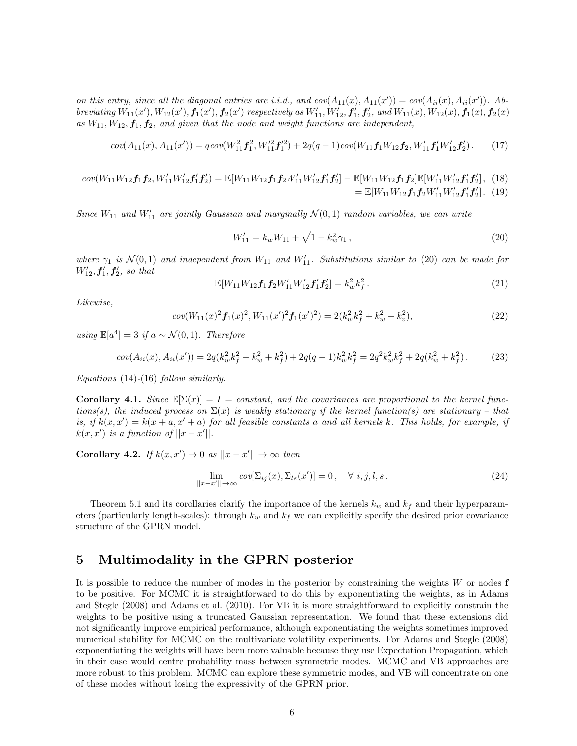on this entry, since all the diagonal entries are i.i.d., and  $cov(A_{11}(x), A_{11}(x')) = cov(A_{ii}(x), A_{ii}(x'))$ . Abbreviating  $W_{11}(x')$ ,  $W_{12}(x')$ ,  $f_1(x')$ ,  $f_2(x')$  respectively as  $W'_{11}$ ,  $W'_{12}$ ,  $f'_1$ ,  $f'_2$ , and  $W_{11}(x)$ ,  $W_{12}(x)$ ,  $f_1(x)$ ,  $f_2(x)$ as  $W_{11}, W_{12}, f_1, f_2$ , and given that the node and weight functions are independent,

$$
cov(A_{11}(x), A_{11}(x')) = qcov(W_{11}^2 f_1^2, W_{11}^{\prime 2} f_1^{\prime 2}) + 2q(q-1)cov(W_{11} f_1 W_{12} f_2, W_{11}^\prime f_1^\prime W_{12}^\prime f_2^\prime). \tag{17}
$$

 $cov(W_{11}W_{12}f_1f_2, W'_{11}W'_{12}f'_1f'_2) = \mathbb{E}[W_{11}W_{12}f_1f_2W'_{11}W'_{12}f'_1f'_2] - \mathbb{E}[W_{11}W_{12}f_1f_2]\mathbb{E}[W'_{11}W'_{12}f'_1f'_2],$  (18) =  $\mathbb{E}[W_{11}W_{12}f_1f_2W'_{11}W'_{12}f'_1f'_2]$ . (19)

Since  $W_{11}$  and  $W'_{11}$  are jointly Gaussian and marginally  $\mathcal{N}(0,1)$  random variables, we can write

$$
W'_{11} = k_w W_{11} + \sqrt{1 - k_w^2} \gamma_1 , \qquad (20)
$$

where  $\gamma_1$  is  $\mathcal{N}(0,1)$  and independent from  $W_{11}$  and  $W'_{11}$ . Substitutions similar to (20) can be made for  $W'_{12}, f'_{1}, f'_{2}, so that$ 

$$
\mathbb{E}[W_{11}W_{12}\mathbf{f}_1\mathbf{f}_2W'_{11}W'_{12}\mathbf{f}_1'\mathbf{f}_2'] = k_w^2 k_f^2.
$$
 (21)

Likewise,

$$
cov(W_{11}(x)^2 f_1(x)^2, W_{11}(x')^2 f_1(x')^2) = 2(k_w^2 k_f^2 + k_w^2 + k_v^2),
$$
\n(22)

using  $\mathbb{E}[a^4] = 3$  if  $a \sim \mathcal{N}(0, 1)$ . Therefore

$$
cov(A_{ii}(x), A_{ii}(x')) = 2q(k_w^2 k_f^2 + k_w^2 + k_f^2) + 2q(q-1)k_w^2 k_f^2 = 2q^2 k_w^2 k_f^2 + 2q(k_w^2 + k_f^2).
$$
 (23)

Equations (14)-(16) follow similarly.

**Corollary 4.1.** Since  $\mathbb{E}[\Sigma(x)] = I = constant$ , and the covariances are proportional to the kernel functions(s), the induced process on  $\Sigma(x)$  is weakly stationary if the kernel function(s) are stationary – that is, if  $k(x, x') = k(x + a, x' + a)$  for all feasible constants a and all kernels k. This holds, for example, if  $k(x, x')$  is a function of  $||x - x'||$ .

Corollary 4.2. If  $k(x, x') \rightarrow 0$  as  $||x - x'|| \rightarrow \infty$  then

$$
\lim_{||x-x'|| \to \infty} cov[\Sigma_{ij}(x), \Sigma_{ls}(x')] = 0, \quad \forall \ i, j, l, s. \tag{24}
$$

Theorem 5.1 and its corollaries clarify the importance of the kernels  $k_w$  and  $k_f$  and their hyperparameters (particularly length-scales): through  $k_w$  and  $k_f$  we can explicitly specify the desired prior covariance structure of the GPRN model.

# 5 Multimodality in the GPRN posterior

It is possible to reduce the number of modes in the posterior by constraining the weights  $W$  or nodes  $f$ to be positive. For MCMC it is straightforward to do this by exponentiating the weights, as in Adams and Stegle (2008) and Adams et al. (2010). For VB it is more straightforward to explicitly constrain the weights to be positive using a truncated Gaussian representation. We found that these extensions did not significantly improve empirical performance, although exponentiating the weights sometimes improved numerical stability for MCMC on the multivariate volatility experiments. For Adams and Stegle (2008) exponentiating the weights will have been more valuable because they use Expectation Propagation, which in their case would centre probability mass between symmetric modes. MCMC and VB approaches are more robust to this problem. MCMC can explore these symmetric modes, and VB will concentrate on one of these modes without losing the expressivity of the GPRN prior.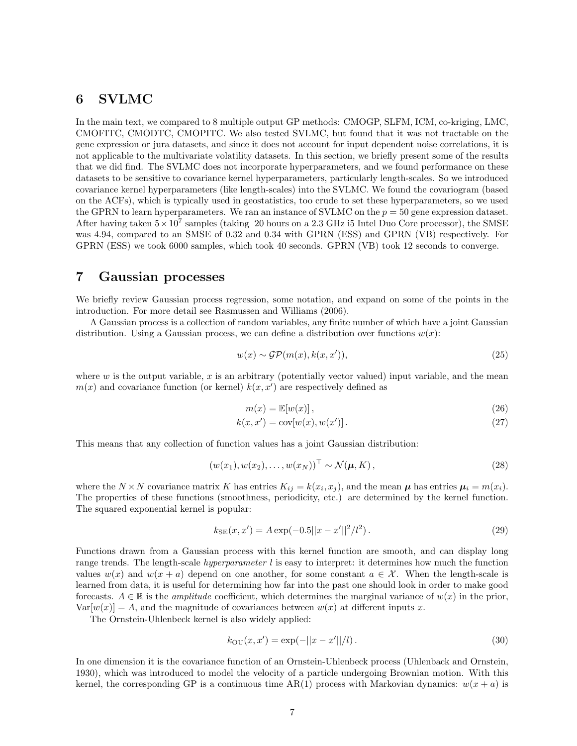# 6 SVLMC

In the main text, we compared to 8 multiple output GP methods: CMOGP, SLFM, ICM, co-kriging, LMC, CMOFITC, CMODTC, CMOPITC. We also tested SVLMC, but found that it was not tractable on the gene expression or jura datasets, and since it does not account for input dependent noise correlations, it is not applicable to the multivariate volatility datasets. In this section, we briefly present some of the results that we did find. The SVLMC does not incorporate hyperparameters, and we found performance on these datasets to be sensitive to covariance kernel hyperparameters, particularly length-scales. So we introduced covariance kernel hyperparameters (like length-scales) into the SVLMC. We found the covariogram (based on the ACFs), which is typically used in geostatistics, too crude to set these hyperparameters, so we used the GPRN to learn hyperparameters. We ran an instance of SVLMC on the  $p = 50$  gene expression dataset. After having taken  $5 \times 10^7$  samples (taking 20 hours on a 2.3 GHz i5 Intel Duo Core processor), the SMSE was 4.94, compared to an SMSE of 0.32 and 0.34 with GPRN (ESS) and GPRN (VB) respectively. For GPRN (ESS) we took 6000 samples, which took 40 seconds. GPRN (VB) took 12 seconds to converge.

## 7 Gaussian processes

We briefly review Gaussian process regression, some notation, and expand on some of the points in the introduction. For more detail see Rasmussen and Williams (2006).

A Gaussian process is a collection of random variables, any finite number of which have a joint Gaussian distribution. Using a Gaussian process, we can define a distribution over functions  $w(x)$ :

$$
w(x) \sim \mathcal{GP}(m(x), k(x, x')), \qquad (25)
$$

where  $w$  is the output variable,  $x$  is an arbitrary (potentially vector valued) input variable, and the mean  $m(x)$  and covariance function (or kernel)  $k(x, x')$  are respectively defined as

$$
m(x) = \mathbb{E}[w(x)],\tag{26}
$$

$$
k(x, x') = \text{cov}[w(x), w(x')] \,. \tag{27}
$$

This means that any collection of function values has a joint Gaussian distribution:

$$
(w(x_1), w(x_2), \dots, w(x_N))^{\top} \sim \mathcal{N}(\boldsymbol{\mu}, K), \qquad (28)
$$

where the  $N \times N$  covariance matrix K has entries  $K_{ij} = k(x_i, x_j)$ , and the mean  $\mu$  has entries  $\mu_i = m(x_i)$ . The properties of these functions (smoothness, periodicity, etc.) are determined by the kernel function. The squared exponential kernel is popular:

$$
k_{\rm SE}(x, x') = A \exp(-0.5||x - x'||^2/l^2). \tag{29}
$$

Functions drawn from a Gaussian process with this kernel function are smooth, and can display long range trends. The length-scale *hyperparameter l* is easy to interpret: it determines how much the function values  $w(x)$  and  $w(x + a)$  depend on one another, for some constant  $a \in \mathcal{X}$ . When the length-scale is learned from data, it is useful for determining how far into the past one should look in order to make good forecasts.  $A \in \mathbb{R}$  is the *amplitude* coefficient, which determines the marginal variance of  $w(x)$  in the prior.  $Var[w(x)] = A$ , and the magnitude of covariances between  $w(x)$  at different inputs x.

The Ornstein-Uhlenbeck kernel is also widely applied:

$$
k_{\text{OU}}(x, x') = \exp(-||x - x'||/l). \tag{30}
$$

In one dimension it is the covariance function of an Ornstein-Uhlenbeck process (Uhlenback and Ornstein, 1930), which was introduced to model the velocity of a particle undergoing Brownian motion. With this kernel, the corresponding GP is a continuous time AR(1) process with Markovian dynamics:  $w(x + a)$  is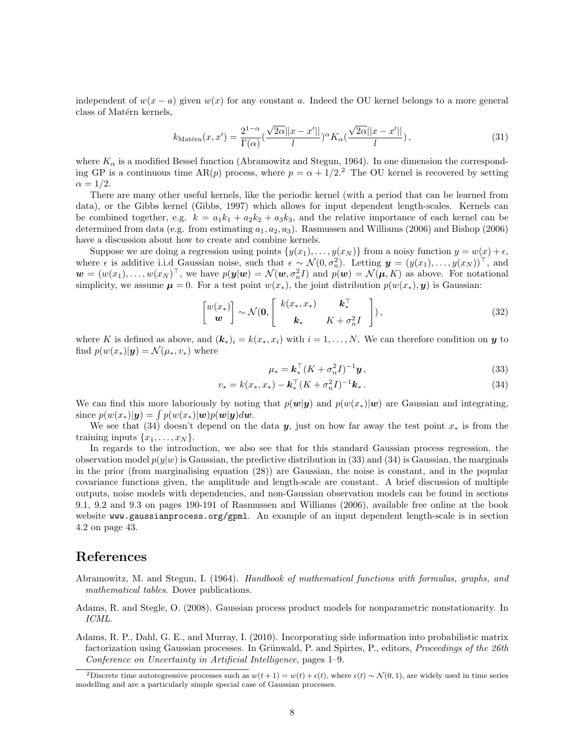independent of  $w(x - a)$  given  $w(x)$  for any constant a. Indeed the OU kernel belongs to a more general class of Matérn kernels,

$$
k_{\text{Matérn}}(x, x') = \frac{2^{1-\alpha}}{\Gamma(\alpha)} \left(\frac{\sqrt{2\alpha}||x - x'||}{l}\right)^{\alpha} K_{\alpha} \left(\frac{\sqrt{2\alpha}||x - x'||}{l}\right),\tag{31}
$$

where  $K_{\alpha}$  is a modified Bessel function (Abramowitz and Stegun, 1964). In one dimension the corresponding GP is a continuous time AR(p) process, where  $p = \alpha + 1/2$ . The OU kernel is recovered by setting  $\alpha = 1/2$ .

There are many other useful kernels, like the periodic kernel (with a period that can be learned from data), or the Gibbs kernel (Gibbs, 1997) which allows for input dependent length-scales. Kernels can be combined together, e.g.  $k = a_1k_1 + a_2k_2 + a_3k_3$ , and the relative importance of each kernel can be determined from data (e.g. from estimating  $a_1, a_2, a_3$ ). Rasmussen and Williams (2006) and Bishop (2006) have a discussion about how to create and combine kernels.

Suppose we are doing a regression using points  $\{y(x_1), \ldots, y(x_N)\}\$ from a noisy function  $y = w(x) + \epsilon$ , where  $\epsilon$  is additive i.i.d Gaussian noise, such that  $\epsilon \sim \mathcal{N}(0, \sigma_n^2)$ . Letting  $\mathbf{y} = (y(x_1), \ldots, y(x_N))^{\top}$ , and  $\mathbf{w} = (w(x_1), \ldots, w(x_N)^{\top})$ , we have  $p(\mathbf{y}|\mathbf{w}) = \mathcal{N}(\mathbf{w}, \sigma_n^2 I)$  and  $p(\mathbf{w}) = \mathcal{N}(\mathbf{\mu}, K)$  as above. For notational simplicity, we assume  $\mu = 0$ . For a test point  $w(x_*)$ , the joint distribution  $p(w(x_*) , y)$  is Gaussian:

$$
\begin{bmatrix} w(x_*) \\ w \end{bmatrix} \sim \mathcal{N}(\mathbf{0}, \begin{bmatrix} k(x_*, x_*) & \mathbf{k}_*^{\top} \\ \mathbf{k}_* & K + \sigma_n^2 I \end{bmatrix}), \tag{32}
$$

where K is defined as above, and  $(k_*)_i = k(x_*, x_i)$  with  $i = 1, ..., N$ . We can therefore condition on y to find  $p(w(x_*)|\mathbf{y}) = \mathcal{N}(\mu_*, v_*)$  where

$$
\mu_* = \mathbf{k}_*^{\top} (K + \sigma_n^2 I)^{-1} \mathbf{y},\tag{33}
$$

$$
v_* = k(x_*, x_*) - \mathbf{k}_*^{\top} (K + \sigma_n^2 I)^{-1} \mathbf{k}_* \,. \tag{34}
$$

We can find this more laboriously by noting that  $p(w|y)$  and  $p(w(x_*)|w)$  are Gaussian and integrating, since  $p(w(x_*)|\mathbf{y}) = \int p(w(x_*)|\mathbf{w})p(\mathbf{w}|\mathbf{y})d\mathbf{w}$ .

We see that (34) doesn't depend on the data y, just on how far away the test point  $x_*$  is from the training inputs  $\{x_1, \ldots, x_N\}$ .

In regards to the introduction, we also see that for this standard Gaussian process regression, the observation model  $p(y|w)$  is Gaussian, the predictive distribution in (33) and (34) is Gaussian, the marginals in the prior (from marginalising equation (28)) are Gaussian, the noise is constant, and in the popular covariance functions given, the amplitude and length-scale are constant. A brief discussion of multiple outputs, noise models with dependencies, and non-Gaussian observation models can be found in sections 9.1, 9.2 and 9.3 on pages 190-191 of Rasmussen and Williams (2006), available free online at the book website www.gaussianprocess.org/gpml. An example of an input dependent length-scale is in section 4.2 on page 43.

#### References

- Abramowitz, M. and Stegun, I. (1964). Handbook of mathematical functions with formulas, graphs, and mathematical tables. Dover publications.
- Adams, R. and Stegle, O. (2008). Gaussian process product models for nonparametric nonstationarity. In ICML.
- Adams, R. P., Dahl, G. E., and Murray, I. (2010). Incorporating side information into probabilistic matrix factorization using Gaussian processes. In Grünwald, P. and Spirtes, P., editors, *Proceedings of the 26th* Conference on Uncertainty in Artificial Intelligence, pages 1–9.

<sup>2</sup>Discrete time autoregressive processes such as  $w(t+1) = w(t) + \epsilon(t)$ , where  $\epsilon(t) \sim \mathcal{N}(0, 1)$ , are widely used in time series modelling and are a particularly simple special case of Gaussian processes.